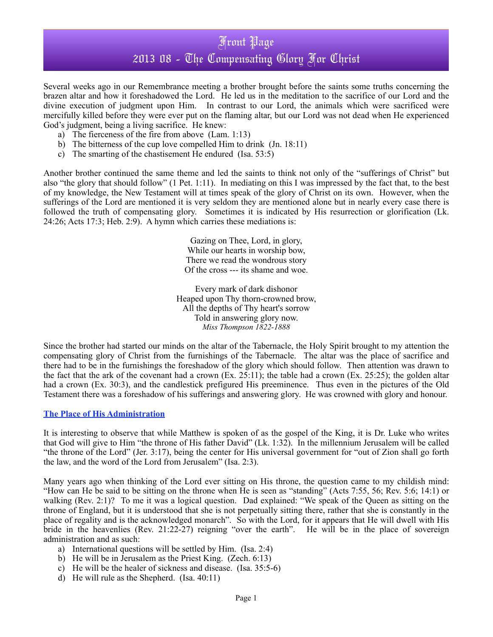Several weeks ago in our Remembrance meeting a brother brought before the saints some truths concerning the brazen altar and how it foreshadowed the Lord. He led us in the meditation to the sacrifice of our Lord and the divine execution of judgment upon Him. In contrast to our Lord, the animals which were sacrificed were mercifully killed before they were ever put on the flaming altar, but our Lord was not dead when He experienced God's judgment, being a living sacrifice. He knew:

- a) The fierceness of the fire from above (Lam. 1:13)
- b) The bitterness of the cup love compelled Him to drink (Jn. 18:11)
- c) The smarting of the chastisement He endured (Isa. 53:5)

Another brother continued the same theme and led the saints to think not only of the "sufferings of Christ" but also "the glory that should follow" (1 Pet. 1:11). In mediating on this I was impressed by the fact that, to the best of my knowledge, the New Testament will at times speak of the glory of Christ on its own. However, when the sufferings of the Lord are mentioned it is very seldom they are mentioned alone but in nearly every case there is followed the truth of compensating glory. Sometimes it is indicated by His resurrection or glorification (Lk. 24:26; Acts 17:3; Heb. 2:9). A hymn which carries these mediations is:

> Gazing on Thee, Lord, in glory, While our hearts in worship bow, There we read the wondrous story Of the cross --- its shame and woe.

Every mark of dark dishonor Heaped upon Thy thorn-crowned brow, All the depths of Thy heart's sorrow Told in answering glory now. *Miss Thompson 1822-1888*

Since the brother had started our minds on the altar of the Tabernacle, the Holy Spirit brought to my attention the compensating glory of Christ from the furnishings of the Tabernacle. The altar was the place of sacrifice and there had to be in the furnishings the foreshadow of the glory which should follow. Then attention was drawn to the fact that the ark of the covenant had a crown  $(Ex. 25:11)$ ; the table had a crown  $(Ex. 25:25)$ ; the golden altar had a crown (Ex. 30:3), and the candlestick prefigured His preeminence. Thus even in the pictures of the Old Testament there was a foreshadow of his sufferings and answering glory. He was crowned with glory and honour.

#### **The Place of His Administration**

It is interesting to observe that while Matthew is spoken of as the gospel of the King, it is Dr. Luke who writes that God will give to Him "the throne of His father David" (Lk. 1:32). In the millennium Jerusalem will be called "the throne of the Lord" (Jer. 3:17), being the center for His universal government for "out of Zion shall go forth the law, and the word of the Lord from Jerusalem" (Isa. 2:3).

Many years ago when thinking of the Lord ever sitting on His throne, the question came to my childish mind: "How can He be said to be sitting on the throne when He is seen as "standing" (Acts 7:55, 56; Rev. 5:6; 14:1) or walking (Rev. 2:1)? To me it was a logical question. Dad explained: "We speak of the Queen as sitting on the throne of England, but it is understood that she is not perpetually sitting there, rather that she is constantly in the place of regality and is the acknowledged monarch". So with the Lord, for it appears that He will dwell with His bride in the heavenlies (Rev. 21:22-27) reigning "over the earth". He will be in the place of sovereign administration and as such:

- a) International questions will be settled by Him. (Isa. 2:4)
- b) He will be in Jerusalem as the Priest King. (Zech. 6:13)
- c) He will be the healer of sickness and disease. (Isa. 35:5-6)
- d) He will rule as the Shepherd. (Isa. 40:11)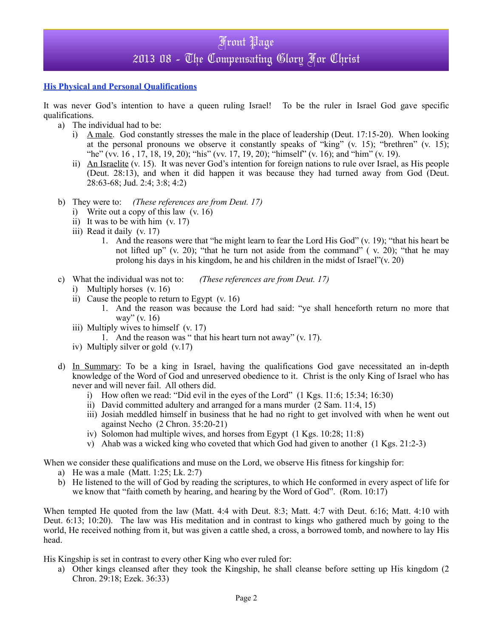#### **His Physical and Personal Qualifications**

It was never God's intention to have a queen ruling Israel! To be the ruler in Israel God gave specific qualifications.

- a) The individual had to be:
	- i) A male. God constantly stresses the male in the place of leadership (Deut. 17:15-20). When looking at the personal pronouns we observe it constantly speaks of "king" (v. 15); "brethren" (v. 15); "he" (vv. 16 , 17, 18, 19, 20); "his" (vv. 17, 19, 20); "himself" (v. 16); and "him" (v. 19).
	- ii) An Israelite (v. 15). It was never God's intention for foreign nations to rule over Israel, as His people (Deut. 28:13), and when it did happen it was because they had turned away from God (Deut. 28:63-68; Jud. 2:4; 3:8; 4:2)
- b) They were to: *(These references are from Deut. 17)*
	- i) Write out a copy of this law (v. 16)
	- ii) It was to be with him (v. 17)
	- iii) Read it daily (v. 17)
		- 1. And the reasons were that "he might learn to fear the Lord His God" (v. 19); "that his heart be not lifted up" (v. 20); "that he turn not aside from the command" (v. 20); "that he may prolong his days in his kingdom, he and his children in the midst of Israel"(v. 20)
- c) What the individual was not to: *(These references are from Deut. 17)*
	- i) Multiply horses (v. 16)
	- ii) Cause the people to return to Egypt (v. 16)
		- 1. And the reason was because the Lord had said: "ye shall henceforth return no more that way" (v. 16)
	- iii) Multiply wives to himself (v. 17)
		- 1. And the reason was " that his heart turn not away" (v. 17).
	- iv) Multiply silver or gold (v.17)
- d) In Summary: To be a king in Israel, having the qualifications God gave necessitated an in-depth knowledge of the Word of God and unreserved obedience to it. Christ is the only King of Israel who has never and will never fail. All others did.
	- i) How often we read: "Did evil in the eyes of the Lord" (1 Kgs. 11:6; 15:34; 16:30)
	- ii) David committed adultery and arranged for a mans murder (2 Sam. 11:4, 15)
	- iii) Josiah meddled himself in business that he had no right to get involved with when he went out against Necho (2 Chron. 35:20-21)
	- iv) Solomon had multiple wives, and horses from Egypt (1 Kgs. 10:28; 11:8)
	- v) Ahab was a wicked king who coveted that which God had given to another (1 Kgs. 21:2-3)

When we consider these qualifications and muse on the Lord, we observe His fitness for kingship for:

- a) He was a male (Matt. 1:25; Lk. 2:7)
- b) He listened to the will of God by reading the scriptures, to which He conformed in every aspect of life for we know that "faith cometh by hearing, and hearing by the Word of God". (Rom. 10:17)

When tempted He quoted from the law (Matt. 4:4 with Deut. 8:3; Matt. 4:7 with Deut. 6:16; Matt. 4:10 with Deut. 6:13; 10:20). The law was His meditation and in contrast to kings who gathered much by going to the world, He received nothing from it, but was given a cattle shed, a cross, a borrowed tomb, and nowhere to lay His head.

His Kingship is set in contrast to every other King who ever ruled for:

a) Other kings cleansed after they took the Kingship, he shall cleanse before setting up His kingdom (2 Chron. 29:18; Ezek. 36:33)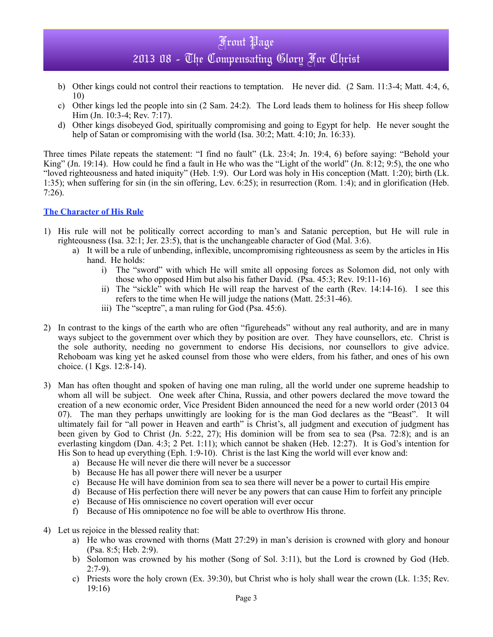- b) Other kings could not control their reactions to temptation. He never did. (2 Sam. 11:3-4; Matt. 4:4, 6, 10)
- c) Other kings led the people into sin (2 Sam. 24:2). The Lord leads them to holiness for His sheep follow Him (Jn. 10:3-4; Rev. 7:17).
- d) Other kings disobeyed God, spiritually compromising and going to Egypt for help. He never sought the help of Satan or compromising with the world (Isa. 30:2; Matt. 4:10; Jn. 16:33).

Three times Pilate repeats the statement: "I find no fault" (Lk. 23:4; Jn. 19:4, 6) before saying: "Behold your King" (Jn. 19:14). How could he find a fault in He who was the "Light of the world" (Jn. 8:12; 9:5), the one who "loved righteousness and hated iniquity" (Heb. 1:9). Our Lord was holy in His conception (Matt. 1:20); birth (Lk. 1:35); when suffering for sin (in the sin offering, Lev. 6:25); in resurrection (Rom. 1:4); and in glorification (Heb. 7:26).

### **The Character of His Rule**

- 1) His rule will not be politically correct according to man's and Satanic perception, but He will rule in righteousness (Isa. 32:1; Jer. 23:5), that is the unchangeable character of God (Mal. 3:6).
	- a) It will be a rule of unbending, inflexible, uncompromising righteousness as seem by the articles in His hand. He holds:
		- i) The "sword" with which He will smite all opposing forces as Solomon did, not only with those who opposed Him but also his father David. (Psa. 45:3; Rev. 19:11-16)
		- ii) The "sickle" with which He will reap the harvest of the earth (Rev. 14:14-16). I see this refers to the time when He will judge the nations (Matt. 25:31-46).
		- iii) The "sceptre", a man ruling for God (Psa. 45:6).
- 2) In contrast to the kings of the earth who are often "figureheads" without any real authority, and are in many ways subject to the government over which they by position are over. They have counsellors, etc. Christ is the sole authority, needing no government to endorse His decisions, nor counsellors to give advice. Rehoboam was king yet he asked counsel from those who were elders, from his father, and ones of his own choice. (1 Kgs. 12:8-14).
- 3) Man has often thought and spoken of having one man ruling, all the world under one supreme headship to whom all will be subject. One week after China, Russia, and other powers declared the move toward the creation of a new economic order, Vice President Biden announced the need for a new world order (2013 04 07). The man they perhaps unwittingly are looking for is the man God declares as the "Beast". It will ultimately fail for "all power in Heaven and earth" is Christ's, all judgment and execution of judgment has been given by God to Christ (Jn. 5:22, 27); His dominion will be from sea to sea (Psa. 72:8); and is an everlasting kingdom (Dan. 4:3; 2 Pet. 1:11); which cannot be shaken (Heb. 12:27). It is God's intention for His Son to head up everything (Eph. 1:9-10). Christ is the last King the world will ever know and:
	- a) Because He will never die there will never be a successor
	- b) Because He has all power there will never be a usurper
	- c) Because He will have dominion from sea to sea there will never be a power to curtail His empire
	- d) Because of His perfection there will never be any powers that can cause Him to forfeit any principle
	- e) Because of His omniscience no covert operation will ever occur
	- f) Because of His omnipotence no foe will be able to overthrow His throne.
- 4) Let us rejoice in the blessed reality that:
	- a) He who was crowned with thorns (Matt 27:29) in man's derision is crowned with glory and honour (Psa. 8:5; Heb. 2:9).
	- b) Solomon was crowned by his mother (Song of Sol. 3:11), but the Lord is crowned by God (Heb.  $2:7-9$ ).
	- c) Priests wore the holy crown (Ex. 39:30), but Christ who is holy shall wear the crown (Lk. 1:35; Rev. 19:16)